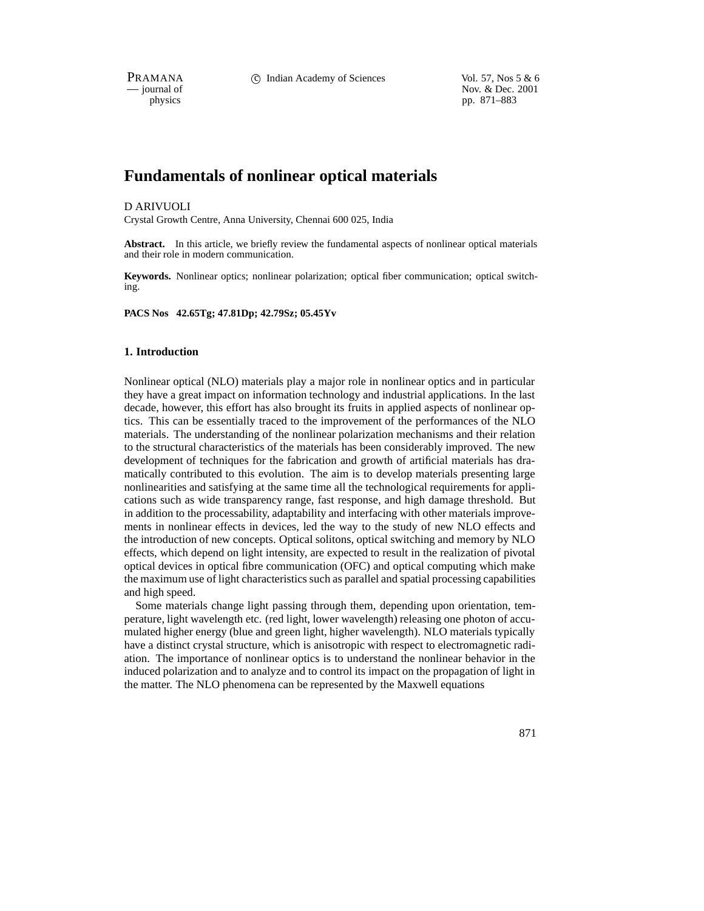PRAMANA 
compared to Compared Compared Compared Compared Compared Vol. 57, Nos 5 & 6<br>
compared to Compared Compared Nov. & Dec. 2001 position of the interval of Nov. & Dec. 2001<br>
position by the interval of the position of the Nov. & Dec. 2001<br>
pp. 871–883 pp. 871–883

# **Fundamentals of nonlinear optical materials**

D ARIVUOLI

Crystal Growth Centre, Anna University, Chennai 600 025, India

**Abstract.** In this article, we briefly review the fundamental aspects of nonlinear optical materials and their role in modern communication.

**Keywords.** Nonlinear optics; nonlinear polarization; optical fiber communication; optical switching.

#### **PACS Nos 42.65Tg; 47.81Dp; 42.79Sz; 05.45Yv**

#### **1. Introduction**

Nonlinear optical (NLO) materials play a major role in nonlinear optics and in particular they have a great impact on information technology and industrial applications. In the last decade, however, this effort has also brought its fruits in applied aspects of nonlinear optics. This can be essentially traced to the improvement of the performances of the NLO materials. The understanding of the nonlinear polarization mechanisms and their relation to the structural characteristics of the materials has been considerably improved. The new development of techniques for the fabrication and growth of artificial materials has dramatically contributed to this evolution. The aim is to develop materials presenting large nonlinearities and satisfying at the same time all the technological requirements for applications such as wide transparency range, fast response, and high damage threshold. But in addition to the processability, adaptability and interfacing with other materials improvements in nonlinear effects in devices, led the way to the study of new NLO effects and the introduction of new concepts. Optical solitons, optical switching and memory by NLO effects, which depend on light intensity, are expected to result in the realization of pivotal optical devices in optical fibre communication (OFC) and optical computing which make the maximum use of light characteristics such as parallel and spatial processing capabilities and high speed.

Some materials change light passing through them, depending upon orientation, temperature, light wavelength etc. (red light, lower wavelength) releasing one photon of accumulated higher energy (blue and green light, higher wavelength). NLO materials typically have a distinct crystal structure, which is anisotropic with respect to electromagnetic radiation. The importance of nonlinear optics is to understand the nonlinear behavior in the induced polarization and to analyze and to control its impact on the propagation of light in the matter. The NLO phenomena can be represented by the Maxwell equations

871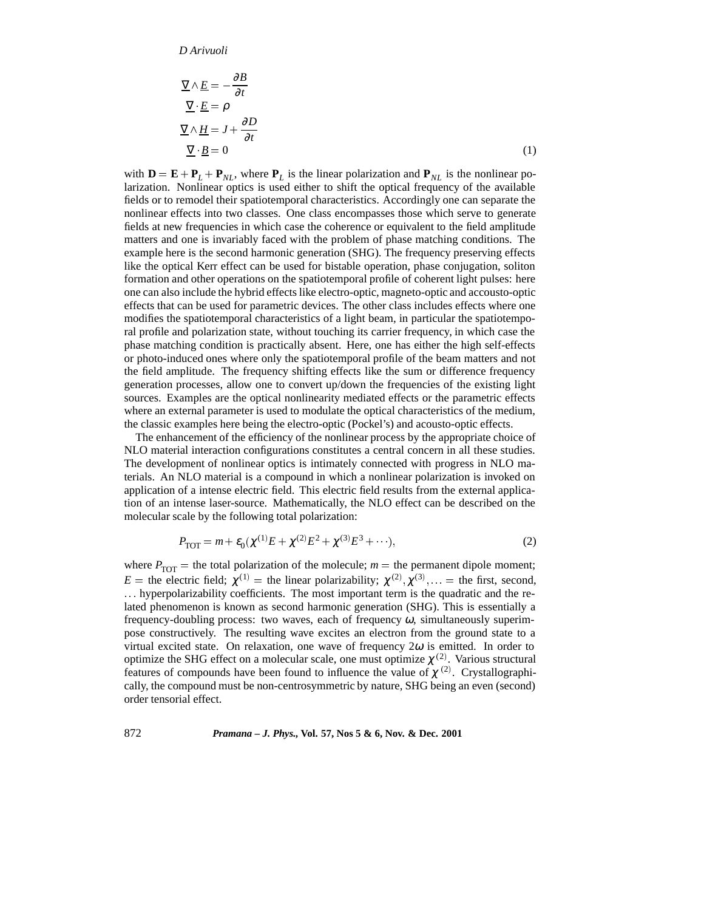$$
\underline{\nabla} \wedge \underline{E} = -\frac{\partial B}{\partial t}
$$
\n
$$
\underline{\nabla} \cdot \underline{E} = \rho
$$
\n
$$
\underline{\nabla} \wedge \underline{H} = J + \frac{\partial D}{\partial t}
$$
\n
$$
\underline{\nabla} \cdot \underline{B} = 0
$$
\n(1)

with  $\mathbf{D} = \mathbf{E} + \mathbf{P}_L + \mathbf{P}_{NL}$ , where  $\mathbf{P}_L$  is the linear polarization and  $\mathbf{P}_{NL}$  is the nonlinear polarization. Nonlinear optics is used either to shift the optical frequency of the available fields or to remodel their spatiotemporal characteristics. Accordingly one can separate the nonlinear effects into two classes. One class encompasses those which serve to generate fields at new frequencies in which case the coherence or equivalent to the field amplitude matters and one is invariably faced with the problem of phase matching conditions. The example here is the second harmonic generation (SHG). The frequency preserving effects like the optical Kerr effect can be used for bistable operation, phase conjugation, soliton formation and other operations on the spatiotemporal profile of coherent light pulses: here one can also include the hybrid effects like electro-optic, magneto-optic and accousto-optic effects that can be used for parametric devices. The other class includes effects where one modifies the spatiotemporal characteristics of a light beam, in particular the spatiotemporal profile and polarization state, without touching its carrier frequency, in which case the phase matching condition is practically absent. Here, one has either the high self-effects or photo-induced ones where only the spatiotemporal profile of the beam matters and not the field amplitude. The frequency shifting effects like the sum or difference frequency generation processes, allow one to convert up/down the frequencies of the existing light sources. Examples are the optical nonlinearity mediated effects or the parametric effects where an external parameter is used to modulate the optical characteristics of the medium, the classic examples here being the electro-optic (Pockel's) and acousto-optic effects.

The enhancement of the efficiency of the nonlinear process by the appropriate choice of NLO material interaction configurations constitutes a central concern in all these studies. The development of nonlinear optics is intimately connected with progress in NLO materials. An NLO material is a compound in which a nonlinear polarization is invoked on application of a intense electric field. This electric field results from the external application of an intense laser-source. Mathematically, the NLO effect can be described on the molecular scale by the following total polarization:

$$
P_{\text{TOT}} = m + \varepsilon_0 (\chi^{(1)} E + \chi^{(2)} E^2 + \chi^{(3)} E^3 + \cdots),\tag{2}
$$

where  $P_{\text{TOT}}$  = the total polarization of the molecule;  $m$  = the permanent dipole moment;  $E =$  the electric field;  $\chi^{(1)} =$  the linear polarizability;  $\chi^{(2)}$ ,  $\chi^{(3)}$ ,... = the first, second, :... hyperpolarizability coefficients. The most important term is the quadratic and the related phenomenon is known as second harmonic generation (SHG). This is essentially a frequency-doubling process: two waves, each of frequency  $\omega$ , simultaneously superimpose constructively. The resulting wave excites an electron from the ground state to a virtual excited state. On relaxation, one wave of frequency  $2\omega$  is emitted. In order to optimize the SHG effect on a molecular scale, one must optimize  $\chi^{(2)}$ . Various structural features of compounds have been found to influence the value of  $\chi^{(2)}$ . Crystallographically, the compound must be non-centrosymmetric by nature, SHG being an even (second) order tensorial effect.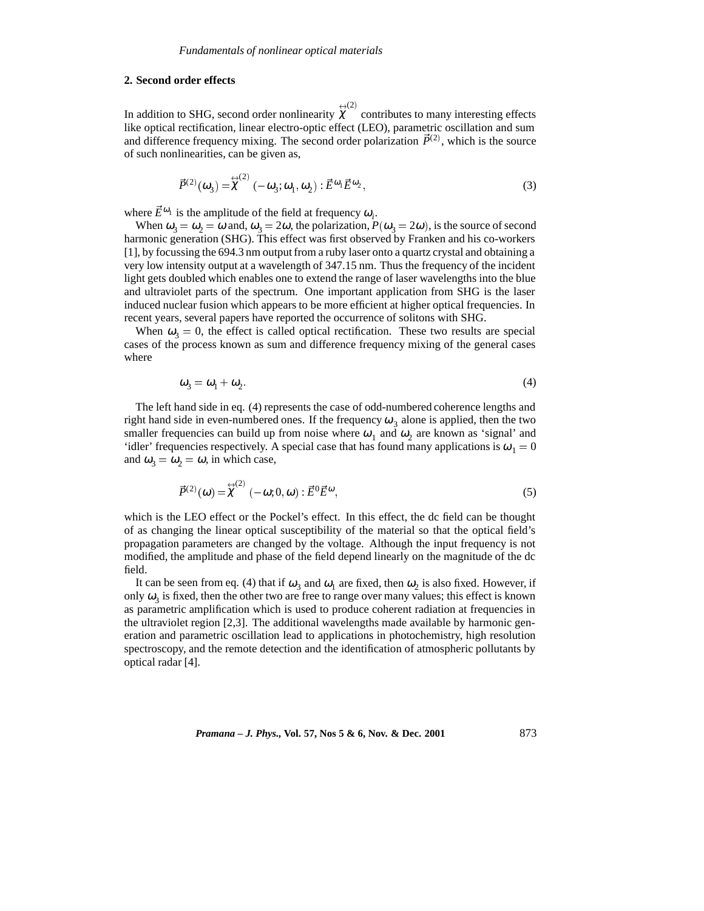## **2. Second order effects**

In addition to SHG, second order nonlinearity  $\chi$  contributes (2) contributes to many interesting effects like optical rectification, linear electro-optic effect (LEO), parametric oscillation and sum and difference frequency mixing. The second order polarization  $\vec{P}^{(2)}$ , which is the source of such nonlinearities, can be given as,

$$
\vec{P}^{(2)}(\omega_3) = \stackrel{\leftrightarrow}{\chi}^{(2)}(-\omega_3; \omega_1, \omega_2) : \vec{E}^{\omega_1} \vec{E}^{\omega_2}, \tag{3}
$$

where  $\vec{E}^{\omega_1}$  is the amplitude of the field at frequency  $\omega_i$ .

When  $\omega_3 = \omega_2 = \omega$  and,  $\omega_3 = 2\omega$ , the polarization,  $P(\omega_3 = 2\omega)$ , is the source of second harmonic generation (SHG). This effect was first observed by Franken and his co-workers [1], by focussing the 694.3 nm output from a ruby laser onto a quartz crystal and obtaining a very low intensity output at a wavelength of 347.15 nm. Thus the frequency of the incident light gets doubled which enables one to extend the range of laser wavelengths into the blue and ultraviolet parts of the spectrum. One important application from SHG is the laser induced nuclear fusion which appears to be more efficient at higher optical frequencies. In recent years, several papers have reported the occurrence of solitons with SHG.

When  $\omega_2 = 0$ , the effect is called optical rectification. These two results are special cases of the process known as sum and difference frequency mixing of the general cases where

$$
\omega_3 = \omega_1 + \omega_2. \tag{4}
$$

The left hand side in eq. (4) represents the case of odd-numbered coherence lengths and right hand side in even-numbered ones. If the frequency  $\omega_3$  alone is applied, then the two smaller frequencies can build up from noise where  $\omega_1$  and  $\omega_2$  are known as 'signal' and 'idler' frequencies respectively. A special case that has found many applications is  $\omega_1 = 0$ and  $\omega_3 = \omega_2 = \omega$ , in which case,

$$
\vec{P}^{(2)}(\omega) = \stackrel{\leftrightarrow}{\chi}^{(2)}(-\omega; 0, \omega) : \vec{E}^0 \vec{E}^\omega,
$$
\n<sup>(5)</sup>

which is the LEO effect or the Pockel's effect. In this effect, the dc field can be thought of as changing the linear optical susceptibility of the material so that the optical field's propagation parameters are changed by the voltage. Although the input frequency is not modified, the amplitude and phase of the field depend linearly on the magnitude of the dc field.

It can be seen from eq. (4) that if  $\omega_3$  and  $\omega_1$  are fixed, then  $\omega_2$  is also fixed. However, if only  $\omega_3$  is fixed, then the other two are free to range over many values; this effect is known as parametric amplification which is used to produce coherent radiation at frequencies in the ultraviolet region [2,3]. The additional wavelengths made available by harmonic generation and parametric oscillation lead to applications in photochemistry, high resolution spectroscopy, and the remote detection and the identification of atmospheric pollutants by optical radar [4].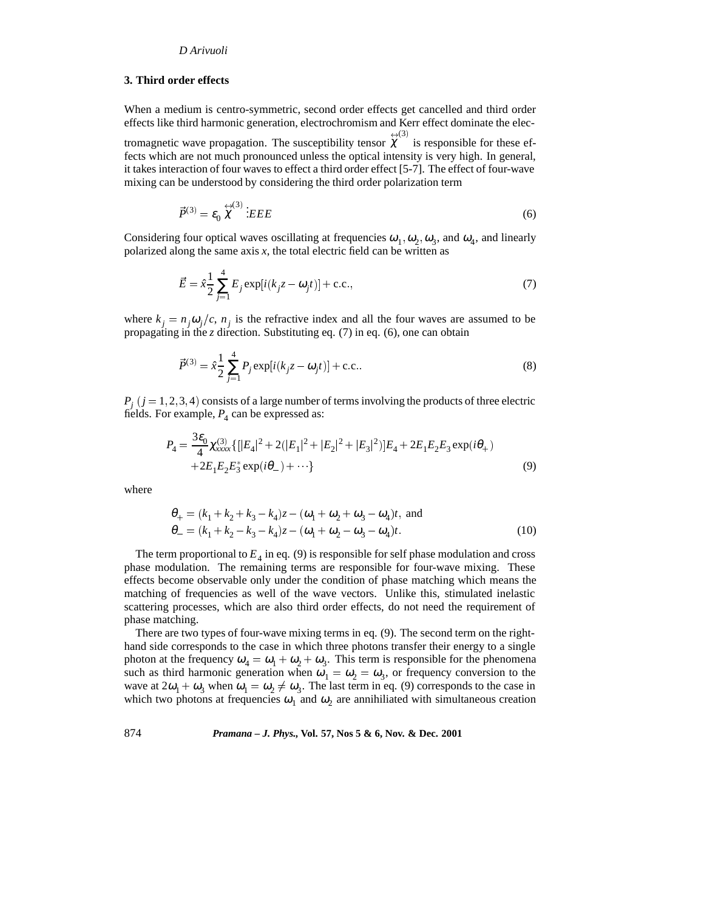#### **3. Third order effects**

When a medium is centro-symmetric, second order effects get cancelled and third order effects like third harmonic generation, electrochromism and Kerr effect dominate the electromagnetic wave propagation. The susceptibility tensor  $\chi$  is respons (3) is responsible for these effects which are not much pronounced unless the optical intensity is very high. In general, it takes interaction of four waves to effect a third order effect [5-7]. The effect of four-wave mixing can be understood by considering the third order polarization term

$$
\vec{P}^{(3)} = \varepsilon_0 \, \overset{\leftrightarrow}{\chi}^{(3)} : EEE \tag{6}
$$

Considering four optical waves oscillating at frequencies  $\omega_1, \omega_2, \omega_3$ , and  $\omega_4$ , and linearly polarized along the same axis *x*, the total electric field can be written as

$$
\vec{E} = \hat{x} \frac{1}{2} \sum_{j=1}^{4} E_j \exp[i(k_j z - \omega_j t)] + \text{c.c.},\tag{7}
$$

where  $k_j = n_j \omega_j/c$ ,  $n_j$  is the refractive index and all the four waves are assumed to be propagating in the *z* direction. Substituting eq. (7) in eq. (6), one can obtain

$$
\vec{P}^{(3)} = \hat{x} \frac{1}{2} \sum_{j=1}^{4} P_j \exp[i(k_j z - \omega_j t)] + \text{c.c.}.
$$
\n(8)

 $P_i$  ( $j = 1, 2, 3, 4$ ) consists of a large number of terms involving the products of three electric fields. For example,  $P_4$  can be expressed as:

$$
P_4 = \frac{3\epsilon_0}{4} \chi_{xxxx}^{(3)} \{ [ |E_4|^2 + 2(|E_1|^2 + |E_2|^2 + |E_3|^2) ] E_4 + 2E_1 E_2 E_3 \exp(i\theta_+) + 2E_1 E_2 E_3^* \exp(i\theta_-) + \cdots \}
$$
\n
$$
(9)
$$

where

$$
\theta_{+} = (k_1 + k_2 + k_3 - k_4)z - (\omega_1 + \omega_2 + \omega_3 - \omega_4)t, \text{ and}
$$
  
\n
$$
\theta_{-} = (k_1 + k_2 - k_3 - k_4)z - (\omega_1 + \omega_2 - \omega_3 - \omega_4)t.
$$
 (10)

The term proportional to  $E_4$  in eq. (9) is responsible for self phase modulation and cross phase modulation. The remaining terms are responsible for four-wave mixing. These effects become observable only under the condition of phase matching which means the matching of frequencies as well of the wave vectors. Unlike this, stimulated inelastic scattering processes, which are also third order effects, do not need the requirement of phase matching.

There are two types of four-wave mixing terms in eq. (9). The second term on the righthand side corresponds to the case in which three photons transfer their energy to a single photon at the frequency  $\omega_4 = \omega_1 + \omega_2 + \omega_3$ . This term is responsible for the phenomena such as third harmonic generation when  $\omega_1 = \omega_2 = \omega_3$ , or frequency conversion to the wave at  $2\omega_1 + \omega_3$  when  $\omega_1 = \omega_2 \neq \omega_3$ . The last term in eq. (9) corresponds to the case in which two photons at frequencies  $\omega_1$  and  $\omega_2$  are annihiliated with simultaneous creation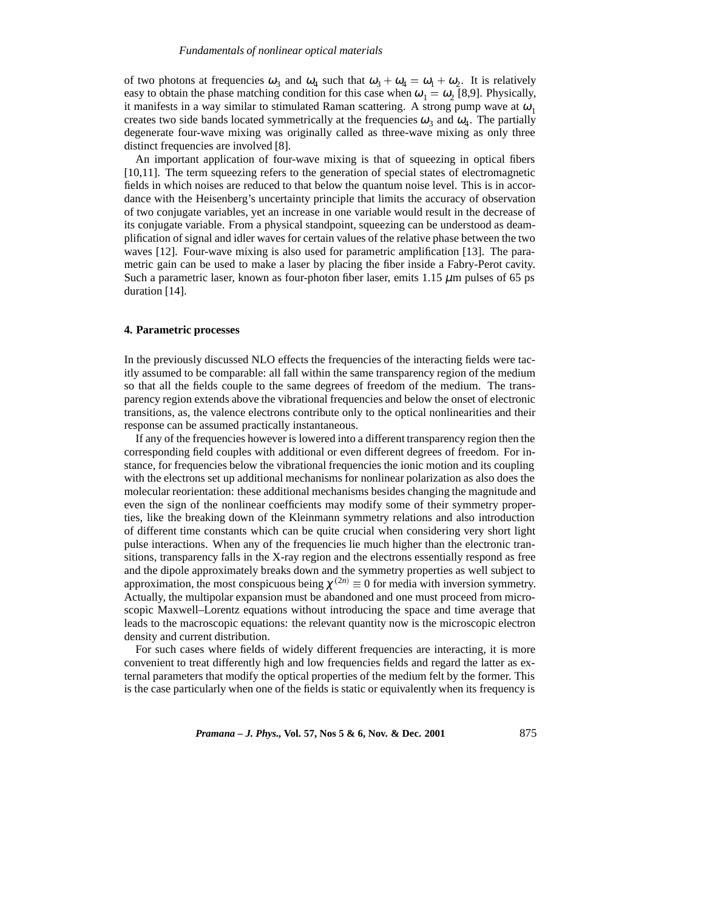of two photons at frequencies  $\omega_3$  and  $\omega_4$  such that  $\omega_3 + \omega_4 = \omega_1 + \omega_2$ . It is relatively easy to obtain the phase matching condition for this case when  $\omega_1 = \omega_2$  [8,9]. Physically, it manifests in a way similar to stimulated Raman scattering. A strong pump wave at  $\omega_1$ creates two side bands located symmetrically at the frequencies  $\omega_3$  and  $\omega_4$ . The partially degenerate four-wave mixing was originally called as three-wave mixing as only three distinct frequencies are involved [8].

An important application of four-wave mixing is that of squeezing in optical fibers [10,11]. The term squeezing refers to the generation of special states of electromagnetic fields in which noises are reduced to that below the quantum noise level. This is in accordance with the Heisenberg's uncertainty principle that limits the accuracy of observation of two conjugate variables, yet an increase in one variable would result in the decrease of its conjugate variable. From a physical standpoint, squeezing can be understood as deamplification of signal and idler waves for certain values of the relative phase between the two waves [12]. Four-wave mixing is also used for parametric amplification [13]. The parametric gain can be used to make a laser by placing the fiber inside a Fabry-Perot cavity. Such a parametric laser, known as four-photon fiber laser, emits  $1.15 \mu m$  pulses of 65 ps duration [14].

#### **4. Parametric processes**

In the previously discussed NLO effects the frequencies of the interacting fields were tacitly assumed to be comparable: all fall within the same transparency region of the medium so that all the fields couple to the same degrees of freedom of the medium. The transparency region extends above the vibrational frequencies and below the onset of electronic transitions, as, the valence electrons contribute only to the optical nonlinearities and their response can be assumed practically instantaneous.

If any of the frequencies however is lowered into a different transparency region then the corresponding field couples with additional or even different degrees of freedom. For instance, for frequencies below the vibrational frequencies the ionic motion and its coupling with the electrons set up additional mechanisms for nonlinear polarization as also does the molecular reorientation: these additional mechanisms besides changing the magnitude and even the sign of the nonlinear coefficients may modify some of their symmetry properties, like the breaking down of the Kleinmann symmetry relations and also introduction of different time constants which can be quite crucial when considering very short light pulse interactions. When any of the frequencies lie much higher than the electronic transitions, transparency falls in the X-ray region and the electrons essentially respond as free and the dipole approximately breaks down and the symmetry properties as well subject to approximation, the most conspicuous being  $\chi^{(2n)} \equiv 0$  for media with inversion symmetry. Actually, the multipolar expansion must be abandoned and one must proceed from microscopic Maxwell–Lorentz equations without introducing the space and time average that leads to the macroscopic equations: the relevant quantity now is the microscopic electron density and current distribution.

For such cases where fields of widely different frequencies are interacting, it is more convenient to treat differently high and low frequencies fields and regard the latter as external parameters that modify the optical properties of the medium felt by the former. This is the case particularly when one of the fields is static or equivalently when its frequency is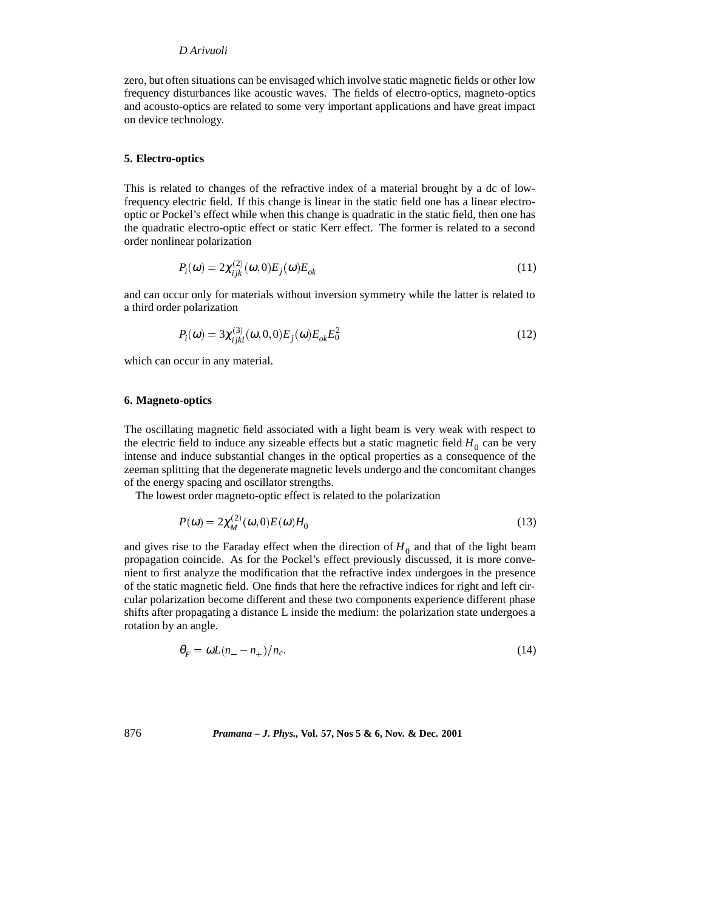zero, but often situations can be envisaged which involve static magnetic fields or other low frequency disturbances like acoustic waves. The fields of electro-optics, magneto-optics and acousto-optics are related to some very important applications and have great impact on device technology.

#### **5. Electro-optics**

This is related to changes of the refractive index of a material brought by a dc of lowfrequency electric field. If this change is linear in the static field one has a linear electrooptic or Pockel's effect while when this change is quadratic in the static field, then one has the quadratic electro-optic effect or static Kerr effect. The former is related to a second order nonlinear polarization

$$
P_i(\omega) = 2\chi_{ijk}^{(2)}(\omega, 0)E_j(\omega)E_{ok}
$$
\n(11)

and can occur only for materials without inversion symmetry while the latter is related to a third order polarization

$$
P_i(\omega) = 3\chi_{ijkl}^{(3)}(\omega, 0, 0)E_j(\omega)E_{ok}E_0^2
$$
\n(12)

which can occur in any material.

#### **6. Magneto-optics**

The oscillating magnetic field associated with a light beam is very weak with respect to the electric field to induce any sizeable effects but a static magnetic field  $H_0$  can be very intense and induce substantial changes in the optical properties as a consequence of the zeeman splitting that the degenerate magnetic levels undergo and the concomitant changes of the energy spacing and oscillator strengths.

The lowest order magneto-optic effect is related to the polarization

$$
P(\omega) = 2\chi_M^{(2)}(\omega, 0)E(\omega)H_0
$$
\n(13)

and gives rise to the Faraday effect when the direction of  $H_0$  and that of the light beam propagation coincide. As for the Pockel's effect previously discussed, it is more convenient to first analyze the modification that the refractive index undergoes in the presence of the static magnetic field. One finds that here the refractive indices for right and left circular polarization become different and these two components experience different phase shifts after propagating a distance L inside the medium: the polarization state undergoes a rotation by an angle.

$$
\theta_F = \omega L (n_- - n_+)/n_c. \tag{14}
$$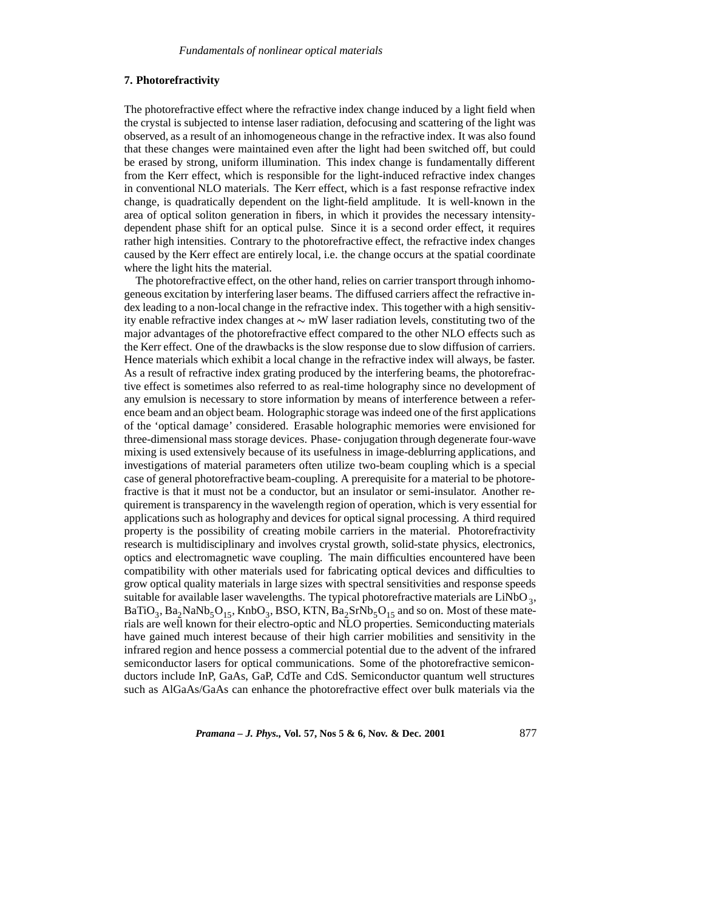## **7. Photorefractivity**

The photorefractive effect where the refractive index change induced by a light field when the crystal is subjected to intense laser radiation, defocusing and scattering of the light was observed, as a result of an inhomogeneous change in the refractive index. It was also found that these changes were maintained even after the light had been switched off, but could be erased by strong, uniform illumination. This index change is fundamentally different from the Kerr effect, which is responsible for the light-induced refractive index changes in conventional NLO materials. The Kerr effect, which is a fast response refractive index change, is quadratically dependent on the light-field amplitude. It is well-known in the area of optical soliton generation in fibers, in which it provides the necessary intensitydependent phase shift for an optical pulse. Since it is a second order effect, it requires rather high intensities. Contrary to the photorefractive effect, the refractive index changes caused by the Kerr effect are entirely local, i.e. the change occurs at the spatial coordinate where the light hits the material.

The photorefractive effect, on the other hand, relies on carrier transport through inhomogeneous excitation by interfering laser beams. The diffused carriers affect the refractive index leading to a non-local change in the refractive index. This together with a high sensitivity enable refractive index changes at  $\sim$  mW laser radiation levels, constituting two of the major advantages of the photorefractive effect compared to the other NLO effects such as the Kerr effect. One of the drawbacks is the slow response due to slow diffusion of carriers. Hence materials which exhibit a local change in the refractive index will always, be faster. As a result of refractive index grating produced by the interfering beams, the photorefractive effect is sometimes also referred to as real-time holography since no development of any emulsion is necessary to store information by means of interference between a reference beam and an object beam. Holographic storage was indeed one of the first applications of the 'optical damage' considered. Erasable holographic memories were envisioned for three-dimensional mass storage devices. Phase- conjugation through degenerate four-wave mixing is used extensively because of its usefulness in image-deblurring applications, and investigations of material parameters often utilize two-beam coupling which is a special case of general photorefractive beam-coupling. A prerequisite for a material to be photorefractive is that it must not be a conductor, but an insulator or semi-insulator. Another requirement is transparency in the wavelength region of operation, which is very essential for applications such as holography and devices for optical signal processing. A third required property is the possibility of creating mobile carriers in the material. Photorefractivity research is multidisciplinary and involves crystal growth, solid-state physics, electronics, optics and electromagnetic wave coupling. The main difficulties encountered have been compatibility with other materials used for fabricating optical devices and difficulties to grow optical quality materials in large sizes with spectral sensitivities and response speeds suitable for available laser wavelengths. The typical photorefractive materials are LiNbO<sub>3</sub>,  $BaTiO<sub>3</sub>, Ba<sub>2</sub>NaNb<sub>5</sub>O<sub>15</sub>, KhbO<sub>3</sub>, BSO, KTN, Ba<sub>2</sub>SrNb<sub>5</sub>O<sub>15</sub> and so on. Most of these mate$ rials are well known for their electro-optic and NLO properties. Semiconducting materials have gained much interest because of their high carrier mobilities and sensitivity in the infrared region and hence possess a commercial potential due to the advent of the infrared semiconductor lasers for optical communications. Some of the photorefractive semiconductors include InP, GaAs, GaP, CdTe and CdS. Semiconductor quantum well structures such as AlGaAs/GaAs can enhance the photorefractive effect over bulk materials via the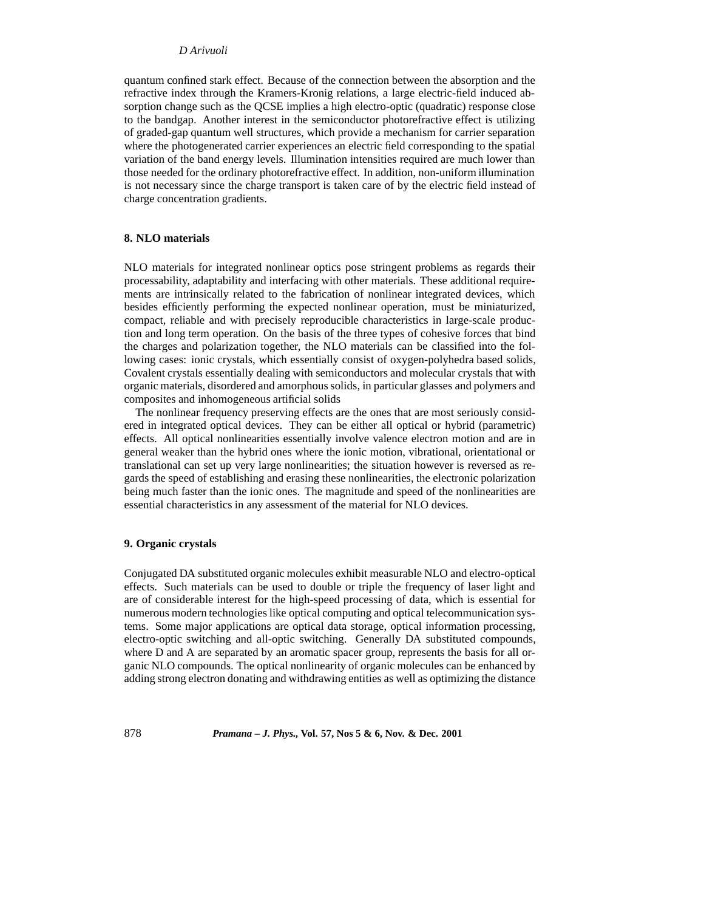quantum confined stark effect. Because of the connection between the absorption and the refractive index through the Kramers-Kronig relations, a large electric-field induced absorption change such as the QCSE implies a high electro-optic (quadratic) response close to the bandgap. Another interest in the semiconductor photorefractive effect is utilizing of graded-gap quantum well structures, which provide a mechanism for carrier separation where the photogenerated carrier experiences an electric field corresponding to the spatial variation of the band energy levels. Illumination intensities required are much lower than those needed for the ordinary photorefractive effect. In addition, non-uniform illumination is not necessary since the charge transport is taken care of by the electric field instead of charge concentration gradients.

## **8. NLO materials**

NLO materials for integrated nonlinear optics pose stringent problems as regards their processability, adaptability and interfacing with other materials. These additional requirements are intrinsically related to the fabrication of nonlinear integrated devices, which besides efficiently performing the expected nonlinear operation, must be miniaturized, compact, reliable and with precisely reproducible characteristics in large-scale production and long term operation. On the basis of the three types of cohesive forces that bind the charges and polarization together, the NLO materials can be classified into the following cases: ionic crystals, which essentially consist of oxygen-polyhedra based solids, Covalent crystals essentially dealing with semiconductors and molecular crystals that with organic materials, disordered and amorphous solids, in particular glasses and polymers and composites and inhomogeneous artificial solids

The nonlinear frequency preserving effects are the ones that are most seriously considered in integrated optical devices. They can be either all optical or hybrid (parametric) effects. All optical nonlinearities essentially involve valence electron motion and are in general weaker than the hybrid ones where the ionic motion, vibrational, orientational or translational can set up very large nonlinearities; the situation however is reversed as regards the speed of establishing and erasing these nonlinearities, the electronic polarization being much faster than the ionic ones. The magnitude and speed of the nonlinearities are essential characteristics in any assessment of the material for NLO devices.

## **9. Organic crystals**

Conjugated DA substituted organic molecules exhibit measurable NLO and electro-optical effects. Such materials can be used to double or triple the frequency of laser light and are of considerable interest for the high-speed processing of data, which is essential for numerous modern technologies like optical computing and optical telecommunication systems. Some major applications are optical data storage, optical information processing, electro-optic switching and all-optic switching. Generally DA substituted compounds, where D and A are separated by an aromatic spacer group, represents the basis for all organic NLO compounds. The optical nonlinearity of organic molecules can be enhanced by adding strong electron donating and withdrawing entities as well as optimizing the distance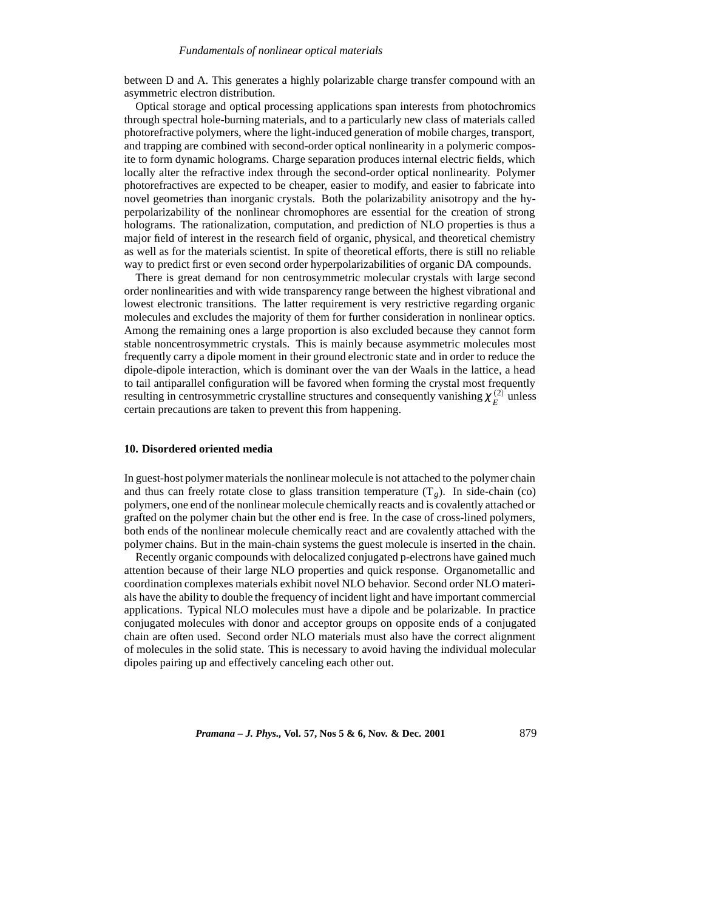between D and A. This generates a highly polarizable charge transfer compound with an asymmetric electron distribution.

Optical storage and optical processing applications span interests from photochromics through spectral hole-burning materials, and to a particularly new class of materials called photorefractive polymers, where the light-induced generation of mobile charges, transport, and trapping are combined with second-order optical nonlinearity in a polymeric composite to form dynamic holograms. Charge separation produces internal electric fields, which locally alter the refractive index through the second-order optical nonlinearity. Polymer photorefractives are expected to be cheaper, easier to modify, and easier to fabricate into novel geometries than inorganic crystals. Both the polarizability anisotropy and the hyperpolarizability of the nonlinear chromophores are essential for the creation of strong holograms. The rationalization, computation, and prediction of NLO properties is thus a major field of interest in the research field of organic, physical, and theoretical chemistry as well as for the materials scientist. In spite of theoretical efforts, there is still no reliable way to predict first or even second order hyperpolarizabilities of organic DA compounds.

There is great demand for non centrosymmetric molecular crystals with large second order nonlinearities and with wide transparency range between the highest vibrational and lowest electronic transitions. The latter requirement is very restrictive regarding organic molecules and excludes the majority of them for further consideration in nonlinear optics. Among the remaining ones a large proportion is also excluded because they cannot form stable noncentrosymmetric crystals. This is mainly because asymmetric molecules most frequently carry a dipole moment in their ground electronic state and in order to reduce the dipole-dipole interaction, which is dominant over the van der Waals in the lattice, a head to tail antiparallel configuration will be favored when forming the crystal most frequently resulting in centrosymmetric crystalline structures and consequently vanishing  $\chi_E^{(2)}$  unless certain precautions are taken to prevent this from happening.

#### **10. Disordered oriented media**

In guest-host polymer materials the nonlinear molecule is not attached to the polymer chain and thus can freely rotate close to glass transition temperature  $(T_g)$ . In side-chain (co) polymers, one end of the nonlinear molecule chemically reacts and is covalently attached or grafted on the polymer chain but the other end is free. In the case of cross-lined polymers, both ends of the nonlinear molecule chemically react and are covalently attached with the polymer chains. But in the main-chain systems the guest molecule is inserted in the chain.

Recently organic compounds with delocalized conjugated p-electrons have gained much attention because of their large NLO properties and quick response. Organometallic and coordination complexes materials exhibit novel NLO behavior. Second order NLO materials have the ability to double the frequency of incident light and have important commercial applications. Typical NLO molecules must have a dipole and be polarizable. In practice conjugated molecules with donor and acceptor groups on opposite ends of a conjugated chain are often used. Second order NLO materials must also have the correct alignment of molecules in the solid state. This is necessary to avoid having the individual molecular dipoles pairing up and effectively canceling each other out.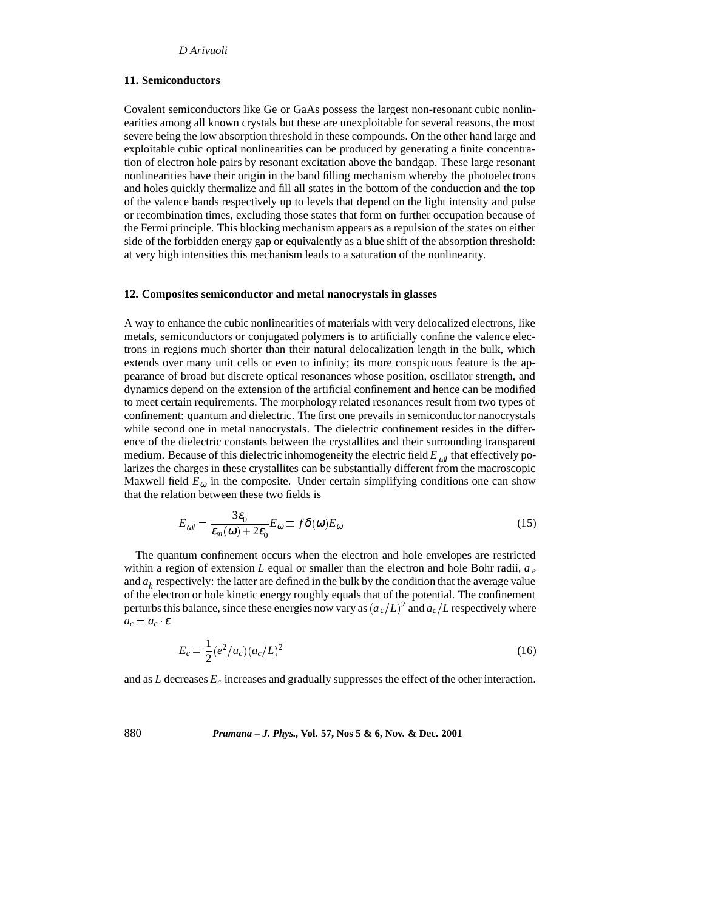## **11. Semiconductors**

Covalent semiconductors like Ge or GaAs possess the largest non-resonant cubic nonlinearities among all known crystals but these are unexploitable for several reasons, the most severe being the low absorption threshold in these compounds. On the other hand large and exploitable cubic optical nonlinearities can be produced by generating a finite concentration of electron hole pairs by resonant excitation above the bandgap. These large resonant nonlinearities have their origin in the band filling mechanism whereby the photoelectrons and holes quickly thermalize and fill all states in the bottom of the conduction and the top of the valence bands respectively up to levels that depend on the light intensity and pulse or recombination times, excluding those states that form on further occupation because of the Fermi principle. This blocking mechanism appears as a repulsion of the states on either side of the forbidden energy gap or equivalently as a blue shift of the absorption threshold: at very high intensities this mechanism leads to a saturation of the nonlinearity.

#### **12. Composites semiconductor and metal nanocrystals in glasses**

A way to enhance the cubic nonlinearities of materials with very delocalized electrons, like metals, semiconductors or conjugated polymers is to artificially confine the valence electrons in regions much shorter than their natural delocalization length in the bulk, which extends over many unit cells or even to infinity; its more conspicuous feature is the appearance of broad but discrete optical resonances whose position, oscillator strength, and dynamics depend on the extension of the artificial confinement and hence can be modified to meet certain requirements. The morphology related resonances result from two types of confinement: quantum and dielectric. The first one prevails in semiconductor nanocrystals while second one in metal nanocrystals. The dielectric confinement resides in the difference of the dielectric constants between the crystallites and their surrounding transparent medium. Because of this dielectric inhomogeneity the electric field  $E_{\omega l}$  that effectively polarizes the charges in these crystallites can be substantially different from the macroscopic Maxwell field  $E_{\omega}$  in the composite. Under certain simplifying conditions one can show that the relation between these two fields is

$$
E_{\omega l} = \frac{3\varepsilon_0}{\varepsilon_m(\omega) + 2\varepsilon_0} E_{\omega} \equiv f\delta(\omega) E_{\omega}
$$
 (15)

The quantum confinement occurs when the electron and hole envelopes are restricted within a region of extension *L* equal or smaller than the electron and hole Bohr radii,  $a_e$ and  $a<sub>h</sub>$  respectively: the latter are defined in the bulk by the condition that the average value of the electron or hole kinetic energy roughly equals that of the potential. The confinement perturbs this balance, since these energies now vary as  $(a_c/L)^2$  and  $a_c/L$  respectively where  $a_c = a_c$   $\varepsilon$ 

$$
E_c = \frac{1}{2} (e^2/a_c)(a_c/L)^2
$$
\n(16)

and as *L* decreases *Ec* increases and gradually suppresses the effect of the other interaction.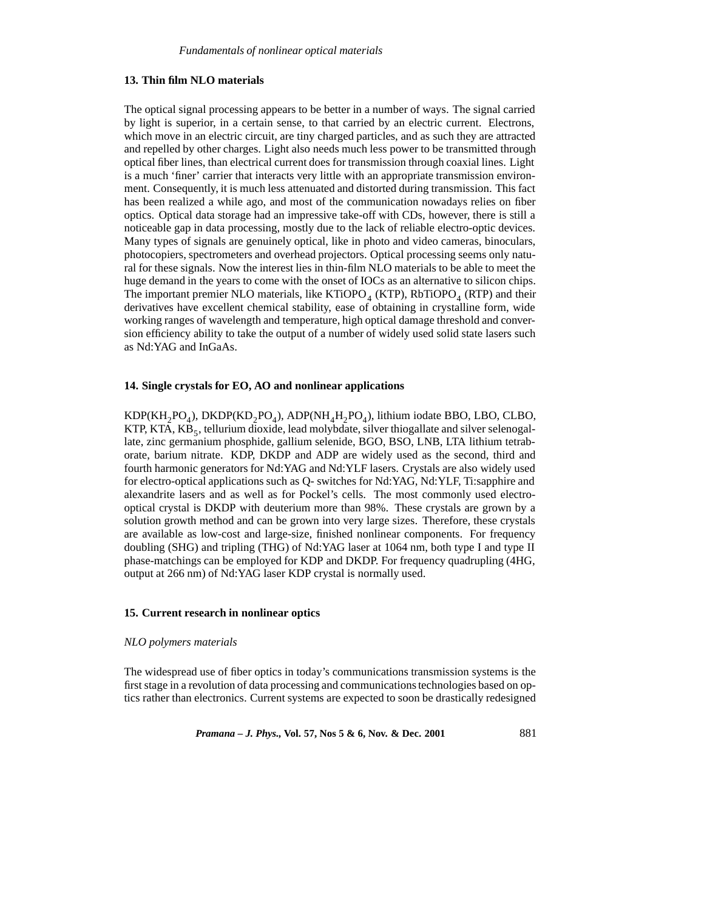## **13. Thin film NLO materials**

The optical signal processing appears to be better in a number of ways. The signal carried by light is superior, in a certain sense, to that carried by an electric current. Electrons, which move in an electric circuit, are tiny charged particles, and as such they are attracted and repelled by other charges. Light also needs much less power to be transmitted through optical fiber lines, than electrical current does for transmission through coaxial lines. Light is a much 'finer' carrier that interacts very little with an appropriate transmission environment. Consequently, it is much less attenuated and distorted during transmission. This fact has been realized a while ago, and most of the communication nowadays relies on fiber optics. Optical data storage had an impressive take-off with CDs, however, there is still a noticeable gap in data processing, mostly due to the lack of reliable electro-optic devices. Many types of signals are genuinely optical, like in photo and video cameras, binoculars, photocopiers, spectrometers and overhead projectors. Optical processing seems only natural for these signals. Now the interest lies in thin-film NLO materials to be able to meet the huge demand in the years to come with the onset of IOCs as an alternative to silicon chips. The important premier NLO materials, like  $KTiOPO<sub>4</sub>$  (KTP), RbTiOPO<sub>4</sub> (RTP) and their derivatives have excellent chemical stability, ease of obtaining in crystalline form, wide working ranges of wavelength and temperature, high optical damage threshold and conversion efficiency ability to take the output of a number of widely used solid state lasers such as Nd:YAG and InGaAs.

## **14. Single crystals for EO, AO and nonlinear applications**

 $KDP(KH_2PO_4)$ , DKDP( $KD_2PO_4$ ), ADP( $NH_4H_2PO_4$ ), lithium iodate BBO, LBO, CLBO, KTP, KTA,  $KB_5$ , tellurium dioxide, lead molybdate, silver thiogallate and silver selenogallate, zinc germanium phosphide, gallium selenide, BGO, BSO, LNB, LTA lithium tetraborate, barium nitrate. KDP, DKDP and ADP are widely used as the second, third and fourth harmonic generators for Nd:YAG and Nd:YLF lasers. Crystals are also widely used for electro-optical applications such as Q- switches for Nd:YAG, Nd:YLF, Ti:sapphire and alexandrite lasers and as well as for Pockel's cells. The most commonly used electrooptical crystal is DKDP with deuterium more than 98%. These crystals are grown by a solution growth method and can be grown into very large sizes. Therefore, these crystals are available as low-cost and large-size, finished nonlinear components. For frequency doubling (SHG) and tripling (THG) of Nd:YAG laser at 1064 nm, both type I and type II phase-matchings can be employed for KDP and DKDP. For frequency quadrupling (4HG, output at 266 nm) of Nd:YAG laser KDP crystal is normally used.

## **15. Current research in nonlinear optics**

#### *NLO polymers materials*

The widespread use of fiber optics in today's communications transmission systems is the first stage in a revolution of data processing and communications technologies based on optics rather than electronics. Current systems are expected to soon be drastically redesigned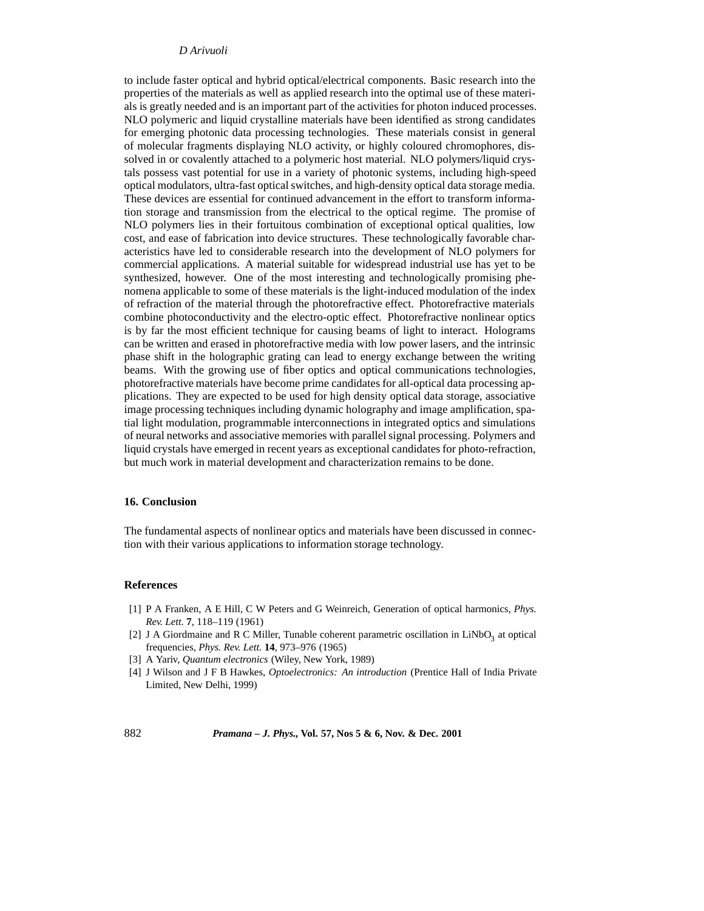to include faster optical and hybrid optical/electrical components. Basic research into the properties of the materials as well as applied research into the optimal use of these materials is greatly needed and is an important part of the activities for photon induced processes. NLO polymeric and liquid crystalline materials have been identified as strong candidates for emerging photonic data processing technologies. These materials consist in general of molecular fragments displaying NLO activity, or highly coloured chromophores, dissolved in or covalently attached to a polymeric host material. NLO polymers/liquid crystals possess vast potential for use in a variety of photonic systems, including high-speed optical modulators, ultra-fast optical switches, and high-density optical data storage media. These devices are essential for continued advancement in the effort to transform information storage and transmission from the electrical to the optical regime. The promise of NLO polymers lies in their fortuitous combination of exceptional optical qualities, low cost, and ease of fabrication into device structures. These technologically favorable characteristics have led to considerable research into the development of NLO polymers for commercial applications. A material suitable for widespread industrial use has yet to be synthesized, however. One of the most interesting and technologically promising phenomena applicable to some of these materials is the light-induced modulation of the index of refraction of the material through the photorefractive effect. Photorefractive materials combine photoconductivity and the electro-optic effect. Photorefractive nonlinear optics is by far the most efficient technique for causing beams of light to interact. Holograms can be written and erased in photorefractive media with low power lasers, and the intrinsic phase shift in the holographic grating can lead to energy exchange between the writing beams. With the growing use of fiber optics and optical communications technologies, photorefractive materials have become prime candidates for all-optical data processing applications. They are expected to be used for high density optical data storage, associative image processing techniques including dynamic holography and image amplification, spatial light modulation, programmable interconnections in integrated optics and simulations of neural networks and associative memories with parallel signal processing. Polymers and liquid crystals have emerged in recent years as exceptional candidates for photo-refraction, but much work in material development and characterization remains to be done.

## **16. Conclusion**

The fundamental aspects of nonlinear optics and materials have been discussed in connection with their various applications to information storage technology.

#### **References**

- [1] P A Franken, A E Hill, C W Peters and G Weinreich, Generation of optical harmonics, *Phys. Rev. Lett.* **7**, 118–119 (1961)
- [2] J A Giordmaine and R C Miller, Tunable coherent parametric oscillation in LiNbO<sub>2</sub> at optical frequencies, *Phys. Rev. Lett.* **14**, 973–976 (1965)
- [3] A Yariv, *Quantum electronics* (Wiley, New York, 1989)
- [4] J Wilson and J F B Hawkes, *Optoelectronics: An introduction* (Prentice Hall of India Private Limited, New Delhi, 1999)